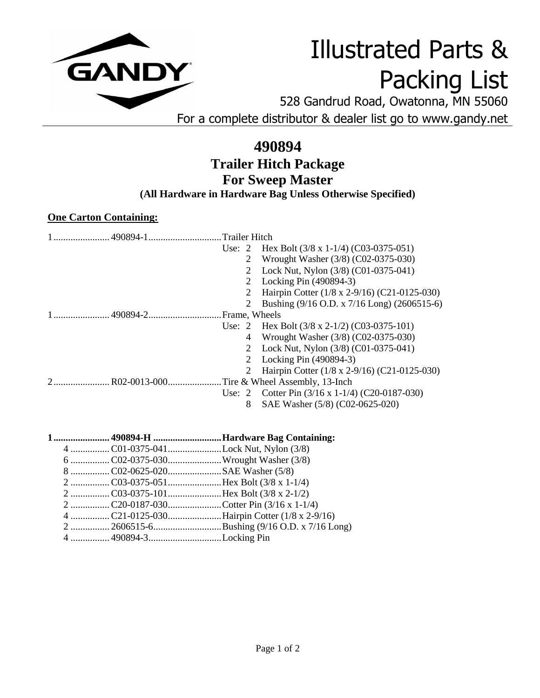

## Illustrated Parts & Packing List

528 Gandrud Road, Owatonna, MN 55060 For a complete distributor & dealer list go to www.gandy.net

## **490894 Trailer Hitch Package For Sweep Master**

**(All Hardware in Hardware Bag Unless Otherwise Specified)**

## **One Carton Containing:**

| . Trailer Hitch<br>1  490894-1             |                                                          |  |
|--------------------------------------------|----------------------------------------------------------|--|
|                                            | Use: 2 Hex Bolt $(3/8 \times 1-1/4)$ $(C03-0375-051)$    |  |
| 2                                          | Wrought Washer (3/8) (C02-0375-030)                      |  |
| 2                                          | Lock Nut, Nylon (3/8) (C01-0375-041)                     |  |
| 2                                          | Locking Pin (490894-3)                                   |  |
| 2                                          | Hairpin Cotter (1/8 x 2-9/16) (C21-0125-030)             |  |
| 2                                          | Bushing (9/16 O.D. x 7/16 Long) (2606515-6)              |  |
|                                            |                                                          |  |
|                                            | Use: 2 Hex Bolt $(3/8 \times 2-1/2)$ (C03-0375-101)      |  |
|                                            | 4 Wrought Washer (3/8) (C02-0375-030)                    |  |
|                                            | 2 Lock Nut, Nylon (3/8) (C01-0375-041)                   |  |
| 2                                          | Locking Pin (490894-3)                                   |  |
| 2                                          | Hairpin Cotter (1/8 x 2-9/16) (C21-0125-030)             |  |
| R02-0013-000Tire & Wheel Assembly, 13-Inch |                                                          |  |
|                                            | Use: 2 Cotter Pin $(3/16 \times 1 - 1/4)$ (C20-0187-030) |  |
| 8                                          | SAE Washer (5/8) (C02-0625-020)                          |  |

**1....................... 490894-H ............................Hardware Bag Containing:** Lock Nut, Nylon  $(3/8)$